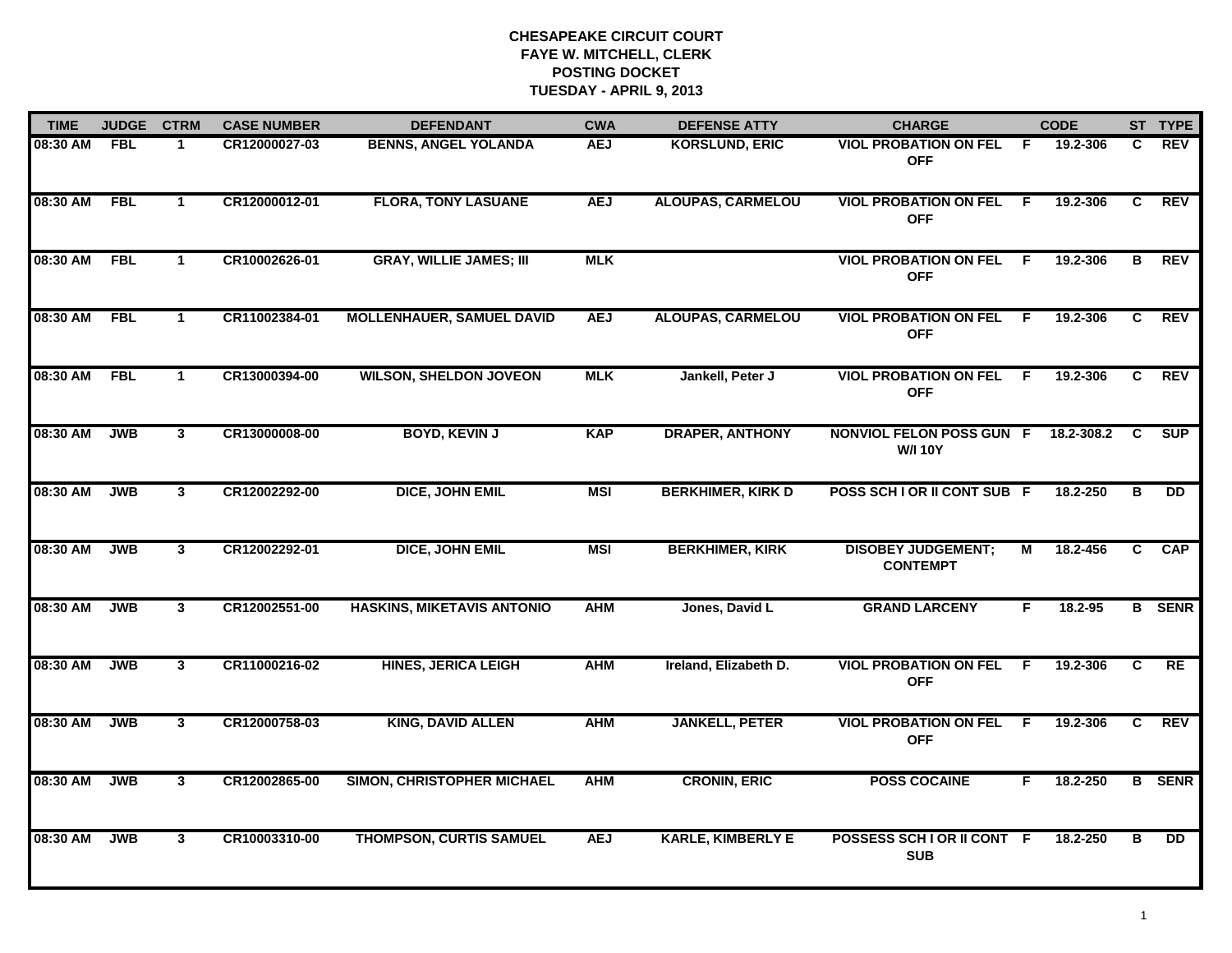| <b>TIME</b> | <b>JUDGE</b> | <b>CTRM</b>          | <b>CASE NUMBER</b> | <b>DEFENDANT</b>                  | <b>CWA</b> | <b>DEFENSE ATTY</b>      | <b>CHARGE</b>                                |     | <b>CODE</b> |    | ST TYPE       |
|-------------|--------------|----------------------|--------------------|-----------------------------------|------------|--------------------------|----------------------------------------------|-----|-------------|----|---------------|
| 08:30 AM    | FBL          | -1                   | CR12000027-03      | <b>BENNS, ANGEL YOLANDA</b>       | <b>AEJ</b> | <b>KORSLUND, ERIC</b>    | <b>VIOL PROBATION ON FEL</b><br><b>OFF</b>   | - F | 19.2-306    | C. | REV           |
| 08:30 AM    | <b>FBL</b>   | $\overline{1}$       | CR12000012-01      | <b>FLORA, TONY LASUANE</b>        | <b>AEJ</b> | <b>ALOUPAS, CARMELOU</b> | <b>VIOL PROBATION ON FEL</b><br><b>OFF</b>   | F.  | 19.2-306    | C  | <b>REV</b>    |
| 08:30 AM    | <b>FBL</b>   | $\blacktriangleleft$ | CR10002626-01      | <b>GRAY, WILLIE JAMES; III</b>    | <b>MLK</b> |                          | <b>VIOL PROBATION ON FEL</b><br><b>OFF</b>   | F.  | 19.2-306    | B  | <b>REV</b>    |
| 08:30 AM    | <b>FBL</b>   | 1                    | CR11002384-01      | <b>MOLLENHAUER, SAMUEL DAVID</b>  | <b>AEJ</b> | <b>ALOUPAS, CARMELOU</b> | <b>VIOL PROBATION ON FEL</b><br><b>OFF</b>   | -F  | 19.2-306    | C. | <b>REV</b>    |
| 08:30 AM    | <b>FBL</b>   | $\blacktriangleleft$ | CR13000394-00      | <b>WILSON, SHELDON JOVEON</b>     | <b>MLK</b> | Jankell, Peter J         | <b>VIOL PROBATION ON FEL</b><br><b>OFF</b>   | F.  | 19.2-306    | C  | <b>REV</b>    |
| 08:30 AM    | <b>JWB</b>   | $\mathbf{3}$         | CR13000008-00      | <b>BOYD, KEVIN J</b>              | <b>KAP</b> | <b>DRAPER, ANTHONY</b>   | NONVIOL FELON POSS GUN F<br><b>W/I 10Y</b>   |     | 18.2-308.2  | C  | <b>SUP</b>    |
| 08:30 AM    | <b>JWB</b>   | $\mathbf{3}$         | CR12002292-00      | DICE, JOHN EMIL                   | <b>MSI</b> | <b>BERKHIMER, KIRK D</b> | POSS SCH I OR II CONT SUB F                  |     | 18.2-250    | B  | <b>DD</b>     |
| 08:30 AM    | <b>JWB</b>   | $\mathbf{3}$         | CR12002292-01      | <b>DICE, JOHN EMIL</b>            | <b>MSI</b> | <b>BERKHIMER, KIRK</b>   | <b>DISOBEY JUDGEMENT;</b><br><b>CONTEMPT</b> | М   | 18.2-456    | C. | <b>CAP</b>    |
| 08:30 AM    | <b>JWB</b>   | $\mathbf{3}$         | CR12002551-00      | <b>HASKINS, MIKETAVIS ANTONIO</b> | <b>AHM</b> | Jones, David L           | <b>GRAND LARCENY</b>                         | F   | 18.2-95     |    | <b>B</b> SENR |
| 08:30 AM    | <b>JWB</b>   | $\mathbf{3}$         | CR11000216-02      | <b>HINES, JERICA LEIGH</b>        | <b>AHM</b> | Ireland, Elizabeth D.    | <b>VIOL PROBATION ON FEL</b><br><b>OFF</b>   | F   | 19.2-306    | C  | RE            |
| 08:30 AM    | <b>JWB</b>   | $\mathbf{3}$         | CR12000758-03      | <b>KING, DAVID ALLEN</b>          | <b>AHM</b> | <b>JANKELL, PETER</b>    | <b>VIOL PROBATION ON FEL</b><br><b>OFF</b>   | F.  | 19.2-306    | C. | REV           |
| 08:30 AM    | <b>JWB</b>   | $\mathbf{3}$         | CR12002865-00      | SIMON, CHRISTOPHER MICHAEL        | <b>AHM</b> | <b>CRONIN, ERIC</b>      | <b>POSS COCAINE</b>                          | F.  | 18.2-250    |    | <b>B</b> SENR |
| 08:30 AM    | <b>JWB</b>   | $\mathbf{3}$         | CR10003310-00      | THOMPSON, CURTIS SAMUEL           | <b>AEJ</b> | <b>KARLE, KIMBERLY E</b> | POSSESS SCH I OR II CONT<br><b>SUB</b>       | -F  | 18.2-250    | в  | DD            |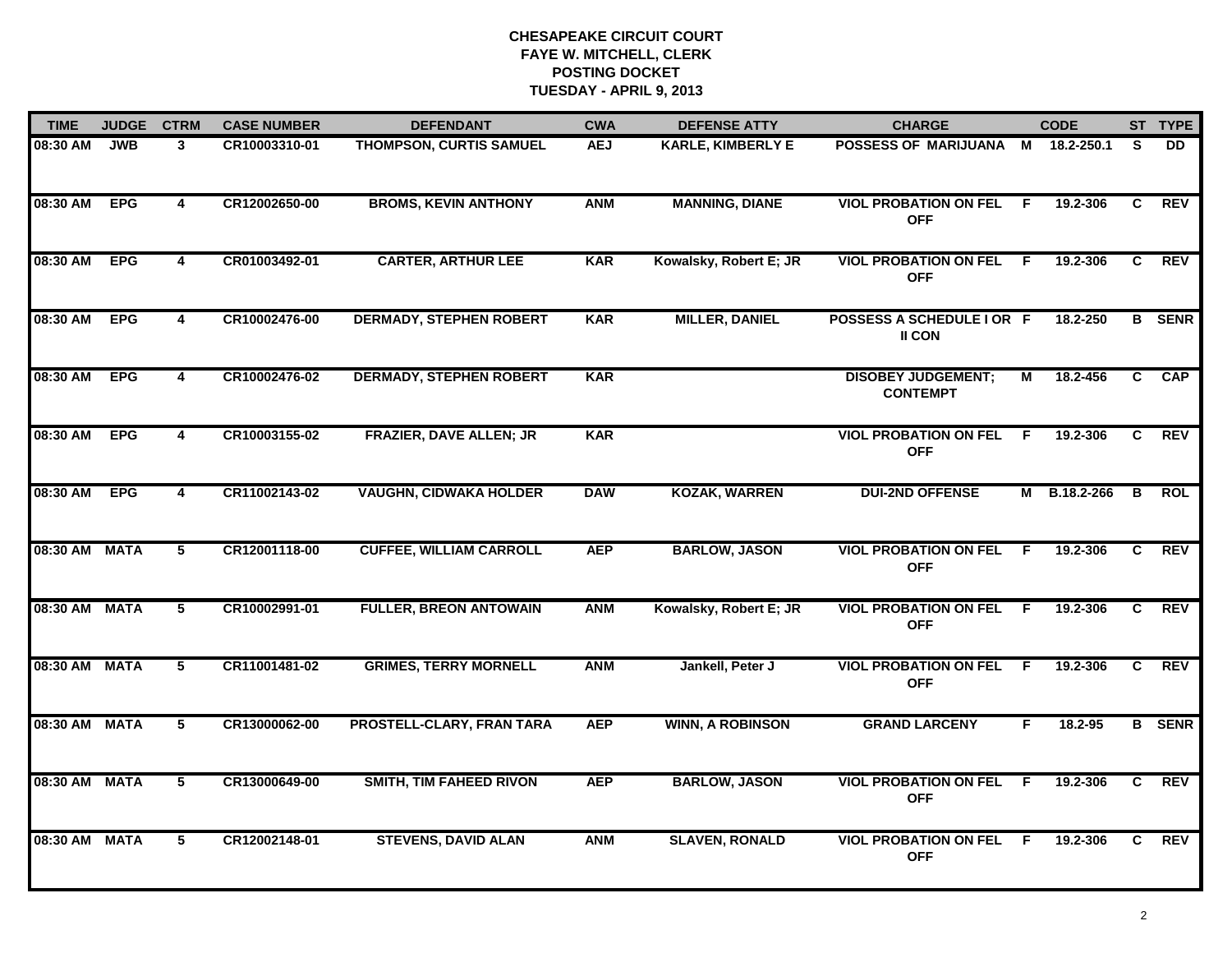| <b>TIME</b>   | <b>JUDGE</b> | <b>CTRM</b>    | <b>CASE NUMBER</b> | <b>DEFENDANT</b>               | <b>CWA</b> | <b>DEFENSE ATTY</b>      | <b>CHARGE</b>                                |     | <b>CODE</b> |    | ST TYPE       |
|---------------|--------------|----------------|--------------------|--------------------------------|------------|--------------------------|----------------------------------------------|-----|-------------|----|---------------|
| 08:30 AM      | <b>JWB</b>   | 3              | CR10003310-01      | THOMPSON, CURTIS SAMUEL        | <b>AEJ</b> | <b>KARLE, KIMBERLY E</b> | POSSESS OF MARIJUANA M                       |     | 18.2-250.1  | S. | <b>DD</b>     |
| 08:30 AM      | <b>EPG</b>   | $\overline{4}$ | CR12002650-00      | <b>BROMS, KEVIN ANTHONY</b>    | <b>ANM</b> | <b>MANNING, DIANE</b>    | <b>VIOL PROBATION ON FEL</b><br><b>OFF</b>   | - F | 19.2-306    | C  | <b>REV</b>    |
| 08:30 AM      | <b>EPG</b>   | 4              | CR01003492-01      | <b>CARTER, ARTHUR LEE</b>      | <b>KAR</b> | Kowalsky, Robert E; JR   | <b>VIOL PROBATION ON FEL</b><br><b>OFF</b>   | F.  | 19.2-306    | C  | <b>REV</b>    |
| 08:30 AM      | <b>EPG</b>   | 4              | CR10002476-00      | <b>DERMADY, STEPHEN ROBERT</b> | <b>KAR</b> | <b>MILLER, DANIEL</b>    | POSSESS A SCHEDULE I OR F<br>II CON          |     | 18.2-250    |    | <b>B</b> SENR |
| 08:30 AM      | <b>EPG</b>   | 4              | CR10002476-02      | <b>DERMADY, STEPHEN ROBERT</b> | <b>KAR</b> |                          | <b>DISOBEY JUDGEMENT;</b><br><b>CONTEMPT</b> | М   | 18.2-456    | C. | CAP           |
| 08:30 AM      | <b>EPG</b>   | 4              | CR10003155-02      | FRAZIER, DAVE ALLEN; JR        | <b>KAR</b> |                          | <b>VIOL PROBATION ON FEL</b><br><b>OFF</b>   | -F  | 19.2-306    | C. | <b>REV</b>    |
| 08:30 AM      | <b>EPG</b>   | 4              | CR11002143-02      | <b>VAUGHN, CIDWAKA HOLDER</b>  | <b>DAW</b> | <b>KOZAK, WARREN</b>     | <b>DUI-2ND OFFENSE</b>                       | М   | B.18.2-266  | В  | ROL           |
| 08:30 AM MATA |              | 5              | CR12001118-00      | <b>CUFFEE, WILLIAM CARROLL</b> | <b>AEP</b> | <b>BARLOW, JASON</b>     | <b>VIOL PROBATION ON FEL</b><br><b>OFF</b>   | -F  | 19.2-306    | C. | <b>REV</b>    |
| 08:30 AM MATA |              | 5              | CR10002991-01      | <b>FULLER, BREON ANTOWAIN</b>  | <b>ANM</b> | Kowalsky, Robert E; JR   | <b>VIOL PROBATION ON FEL</b><br><b>OFF</b>   | -F  | 19.2-306    | C  | <b>REV</b>    |
| 08:30 AM MATA |              | 5              | CR11001481-02      | <b>GRIMES, TERRY MORNELL</b>   | <b>ANM</b> | Jankell, Peter J         | <b>VIOL PROBATION ON FEL</b><br><b>OFF</b>   | -F  | 19.2-306    | C  | <b>REV</b>    |
| 08:30 AM MATA |              | 5              | CR13000062-00      | PROSTELL-CLARY, FRAN TARA      | <b>AEP</b> | <b>WINN, A ROBINSON</b>  | <b>GRAND LARCENY</b>                         | F.  | 18.2-95     |    | <b>B</b> SENR |
| 08:30 AM      | <b>MATA</b>  | 5              | CR13000649-00      | <b>SMITH, TIM FAHEED RIVON</b> | <b>AEP</b> | <b>BARLOW, JASON</b>     | <b>VIOL PROBATION ON FEL</b><br><b>OFF</b>   | F.  | 19.2-306    | C. | <b>REV</b>    |
| 08:30 AM MATA |              | 5              | CR12002148-01      | <b>STEVENS, DAVID ALAN</b>     | <b>ANM</b> | <b>SLAVEN, RONALD</b>    | <b>VIOL PROBATION ON FEL</b><br><b>OFF</b>   | F.  | 19.2-306    | C. | <b>REV</b>    |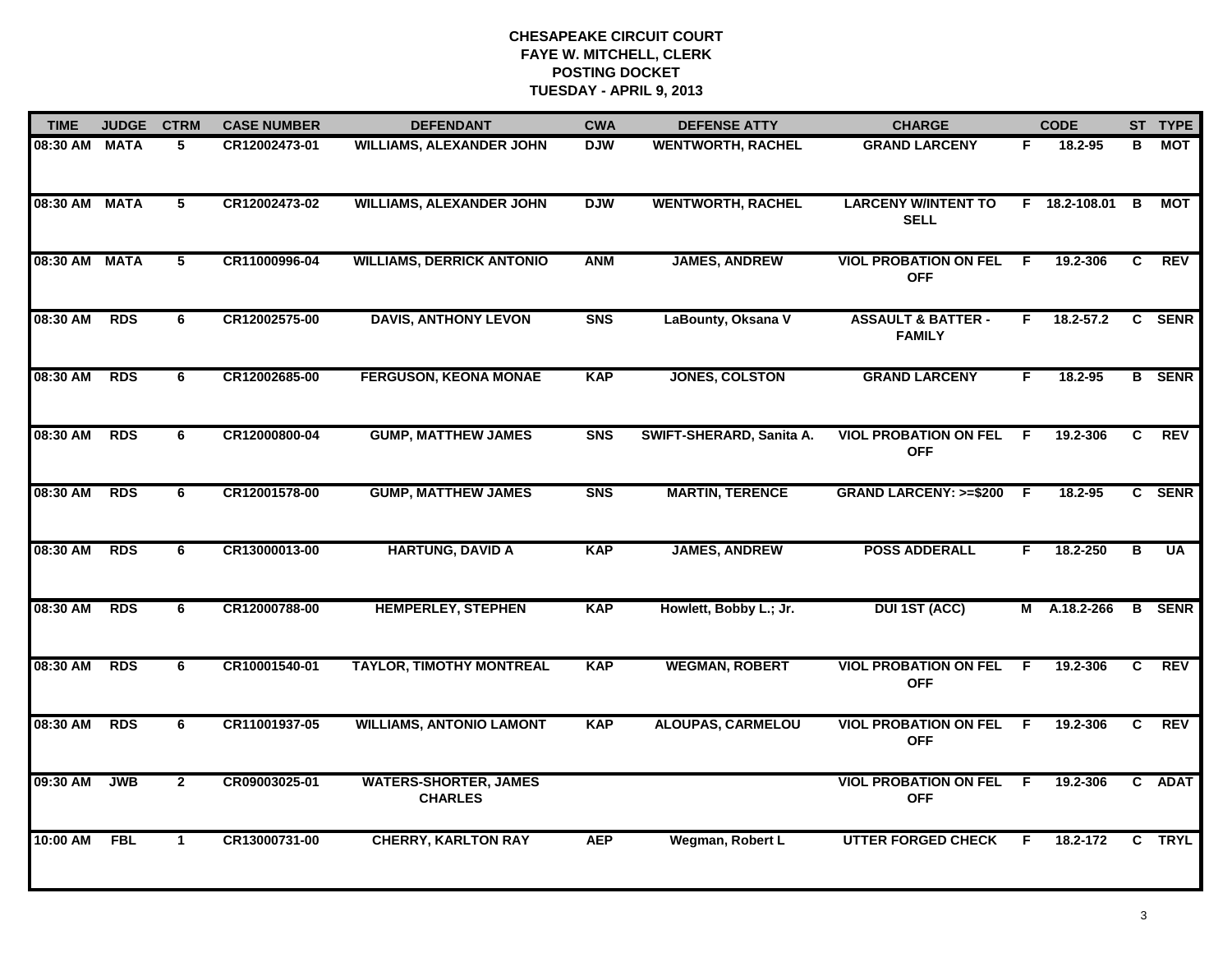| <b>TIME</b>   | <b>JUDGE</b> | <b>CTRM</b>    | <b>CASE NUMBER</b> | <b>DEFENDANT</b>                               | <b>CWA</b>     | <b>DEFENSE ATTY</b>      | <b>CHARGE</b>                                  |     | <b>CODE</b>     |              | ST TYPE       |
|---------------|--------------|----------------|--------------------|------------------------------------------------|----------------|--------------------------|------------------------------------------------|-----|-----------------|--------------|---------------|
| 08:30 AM MATA |              | 5              | CR12002473-01      | <b>WILLIAMS, ALEXANDER JOHN</b>                | <b>DJW</b>     | <b>WENTWORTH, RACHEL</b> | <b>GRAND LARCENY</b>                           | F.  | 18.2-95         | В            | MOT           |
| 08:30 AM MATA |              | 5              | CR12002473-02      | <b>WILLIAMS, ALEXANDER JOHN</b>                | <b>DJW</b>     | <b>WENTWORTH, RACHEL</b> | <b>LARCENY W/INTENT TO</b><br><b>SELL</b>      |     | $F$ 18.2-108.01 | B            | МОТ           |
| 08:30 AM MATA |              | 5              | CR11000996-04      | <b>WILLIAMS, DERRICK ANTONIO</b>               | <b>ANM</b>     | <b>JAMES, ANDREW</b>     | <b>VIOL PROBATION ON FEL</b><br><b>OFF</b>     | E   | 19.2-306        | C            | <b>REV</b>    |
| 08:30 AM      | <b>RDS</b>   | 6              | CR12002575-00      | <b>DAVIS, ANTHONY LEVON</b>                    | S <sub>N</sub> | LaBounty, Oksana V       | <b>ASSAULT &amp; BATTER -</b><br><b>FAMILY</b> | F.  | $18.2 - 57.2$   | $\mathbf{c}$ | <b>SENR</b>   |
| 08:30 AM      | <b>RDS</b>   | 6              | CR12002685-00      | <b>FERGUSON, KEONA MONAE</b>                   | <b>KAP</b>     | <b>JONES, COLSTON</b>    | <b>GRAND LARCENY</b>                           | F.  | 18.2-95         |              | <b>B</b> SENR |
| 08:30 AM      | <b>RDS</b>   | 6              | CR12000800-04      | <b>GUMP, MATTHEW JAMES</b>                     | <b>SNS</b>     | SWIFT-SHERARD, Sanita A. | <b>VIOL PROBATION ON FEL</b><br><b>OFF</b>     | -F  | 19.2-306        | C.           | <b>REV</b>    |
| 08:30 AM      | <b>RDS</b>   | 6              | CR12001578-00      | <b>GUMP, MATTHEW JAMES</b>                     | <b>SNS</b>     | <b>MARTIN, TERENCE</b>   | GRAND LARCENY: >=\$200 F                       |     | 18.2-95         |              | C SENR        |
| 08:30 AM      | <b>RDS</b>   | 6              | CR13000013-00      | <b>HARTUNG, DAVID A</b>                        | <b>KAP</b>     | <b>JAMES, ANDREW</b>     | <b>POSS ADDERALL</b>                           | F.  | 18.2-250        | B            | <b>UA</b>     |
| 08:30 AM      | <b>RDS</b>   | 6              | CR12000788-00      | <b>HEMPERLEY, STEPHEN</b>                      | <b>KAP</b>     | Howlett, Bobby L.; Jr.   | <b>DUI 1ST (ACC)</b>                           | М   | A.18.2-266      |              | <b>B</b> SENR |
| 08:30 AM      | <b>RDS</b>   | 6              | CR10001540-01      | <b>TAYLOR, TIMOTHY MONTREAL</b>                | <b>KAP</b>     | <b>WEGMAN, ROBERT</b>    | <b>VIOL PROBATION ON FEL</b><br><b>OFF</b>     | F   | 19.2-306        | C            | REV           |
| 08:30 AM      | <b>RDS</b>   | 6              | CR11001937-05      | <b>WILLIAMS, ANTONIO LAMONT</b>                | <b>KAP</b>     | <b>ALOUPAS, CARMELOU</b> | <b>VIOL PROBATION ON FEL</b><br><b>OFF</b>     | -F  | 19.2-306        | C.           | <b>REV</b>    |
| 09:30 AM      | <b>JWB</b>   | $\overline{2}$ | CR09003025-01      | <b>WATERS-SHORTER, JAMES</b><br><b>CHARLES</b> |                |                          | <b>VIOL PROBATION ON FEL</b><br><b>OFF</b>     | - F | 19.2-306        |              | C ADAT        |
| 10:00 AM      | <b>FBL</b>   | $\mathbf{1}$   | CR13000731-00      | <b>CHERRY, KARLTON RAY</b>                     | <b>AEP</b>     | Wegman, Robert L         | <b>UTTER FORGED CHECK</b>                      | F   | 18.2-172        | $\mathbf{C}$ | <b>TRYL</b>   |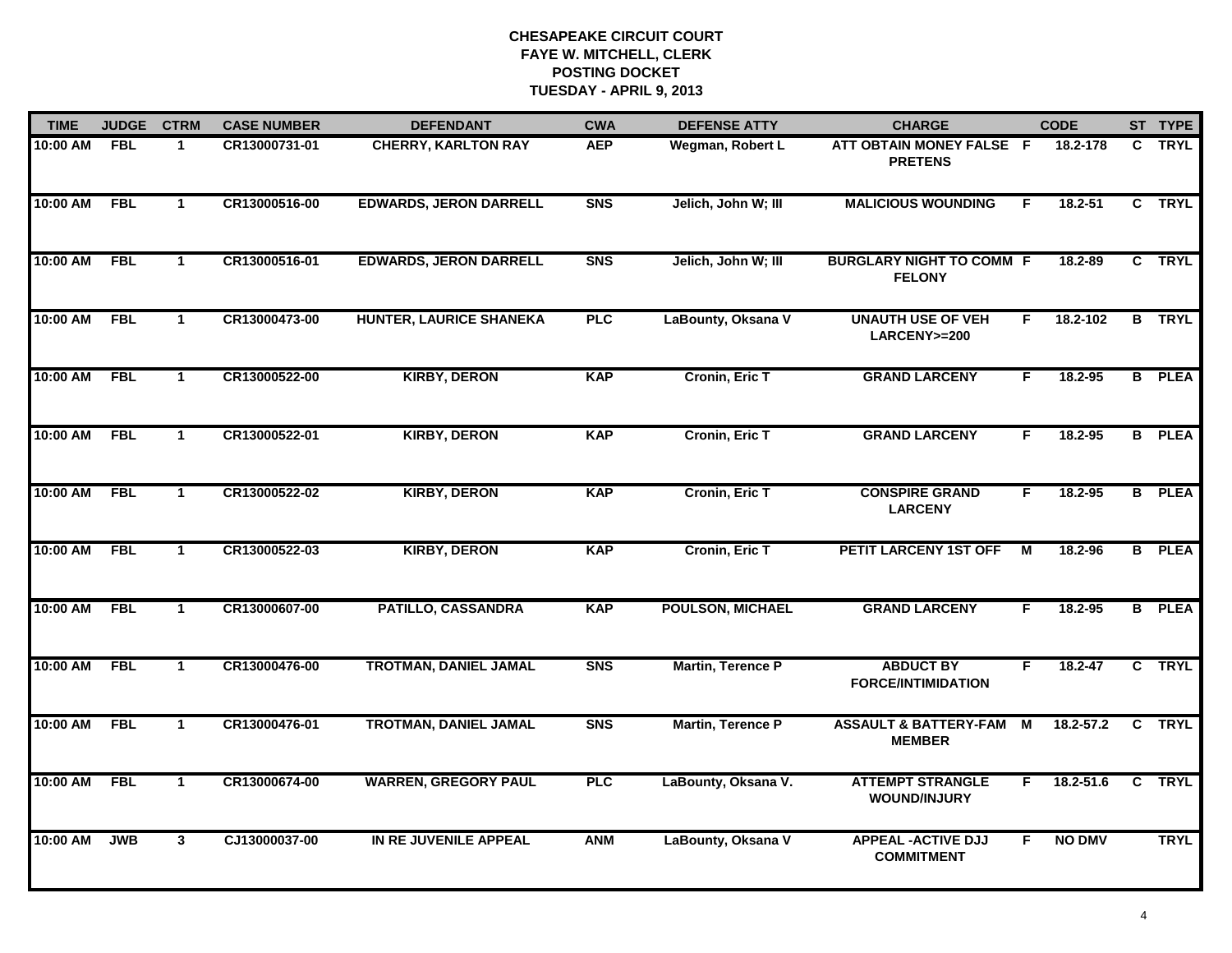| <b>TIME</b> | <b>JUDGE</b> | <b>CTRM</b>          | <b>CASE NUMBER</b> | <b>DEFENDANT</b>               | <b>CWA</b> | <b>DEFENSE ATTY</b>     | <b>CHARGE</b>                                     |    | <b>CODE</b>   |    | ST TYPE       |
|-------------|--------------|----------------------|--------------------|--------------------------------|------------|-------------------------|---------------------------------------------------|----|---------------|----|---------------|
| 10:00 AM    | <b>FBL</b>   | $\mathbf 1$          | CR13000731-01      | <b>CHERRY, KARLTON RAY</b>     | <b>AEP</b> | Wegman, Robert L        | ATT OBTAIN MONEY FALSE F<br><b>PRETENS</b>        |    | 18.2-178      | C. | TRYL          |
| 10:00 AM    | <b>FBL</b>   | $\mathbf{1}$         | CR13000516-00      | <b>EDWARDS, JERON DARRELL</b>  | <b>SNS</b> | Jelich, John W; III     | <b>MALICIOUS WOUNDING</b>                         | F. | $18.2 - 51$   |    | C TRYL        |
| 10:00 AM    | <b>FBL</b>   | $\mathbf 1$          | CR13000516-01      | <b>EDWARDS, JERON DARRELL</b>  | <b>SNS</b> | Jelich, John W; III     | <b>BURGLARY NIGHT TO COMM F</b><br><b>FELONY</b>  |    | 18.2-89       |    | C TRYL        |
| 10:00 AM    | <b>FBL</b>   | $\mathbf 1$          | CR13000473-00      | <b>HUNTER, LAURICE SHANEKA</b> | PLC        | LaBounty, Oksana V      | <b>UNAUTH USE OF VEH</b><br>LARCENY>=200          | F. | 18.2-102      | B  | <b>TRYL</b>   |
| 10:00 AM    | <b>FBL</b>   | $\mathbf{1}$         | CR13000522-00      | <b>KIRBY, DERON</b>            | <b>KAP</b> | <b>Cronin, Eric T</b>   | <b>GRAND LARCENY</b>                              | F. | 18.2-95       |    | <b>B</b> PLEA |
| 10:00 AM    | <b>FBL</b>   | $\mathbf{1}$         | CR13000522-01      | <b>KIRBY, DERON</b>            | <b>KAP</b> | <b>Cronin, Eric T</b>   | <b>GRAND LARCENY</b>                              | F. | 18.2-95       |    | <b>B</b> PLEA |
| 10:00 AM    | FBL          | $\mathbf{1}$         | CR13000522-02      | <b>KIRBY, DERON</b>            | <b>KAP</b> | <b>Cronin, Eric T</b>   | <b>CONSPIRE GRAND</b><br><b>LARCENY</b>           | F  | $18.2 - 95$   |    | <b>B</b> PLEA |
| 10:00 AM    | <b>FBL</b>   | $\mathbf{1}$         | CR13000522-03      | <b>KIRBY, DERON</b>            | <b>KAP</b> | Cronin, Eric T          | PETIT LARCENY 1ST OFF                             | M  | 18.2-96       |    | <b>B</b> PLEA |
| 10:00 AM    | <b>FBL</b>   | $\mathbf{1}$         | CR13000607-00      | PATILLO, CASSANDRA             | <b>KAP</b> | <b>POULSON, MICHAEL</b> | <b>GRAND LARCENY</b>                              | F  | $18.2 - 95$   |    | <b>B</b> PLEA |
| 10:00 AM    | <b>FBL</b>   | $\blacktriangleleft$ | CR13000476-00      | <b>TROTMAN, DANIEL JAMAL</b>   | <b>SNS</b> | Martin, Terence P       | <b>ABDUCT BY</b><br><b>FORCE/INTIMIDATION</b>     | F  | $18.2 - 47$   |    | C TRYL        |
| 10:00 AM    | <b>FBL</b>   | $\mathbf{1}$         | CR13000476-01      | <b>TROTMAN, DANIEL JAMAL</b>   | <b>SNS</b> | Martin, Terence P       | <b>ASSAULT &amp; BATTERY-FAM</b><br><b>MEMBER</b> | M  | $18.2 - 57.2$ | C  | <b>TRYL</b>   |
| 10:00 AM    | <b>FBL</b>   | $\mathbf{1}$         | CR13000674-00      | <b>WARREN, GREGORY PAUL</b>    | PLC        | LaBounty, Oksana V.     | <b>ATTEMPT STRANGLE</b><br><b>WOUND/INJURY</b>    | F. | 18.2-51.6     | C  | <b>TRYL</b>   |
| 10:00 AM    | <b>JWB</b>   | $3^{\circ}$          | CJ13000037-00      | IN RE JUVENILE APPEAL          | <b>ANM</b> | LaBounty, Oksana V      | <b>APPEAL - ACTIVE DJJ</b><br><b>COMMITMENT</b>   | F  | <b>NO DMV</b> |    | <b>TRYL</b>   |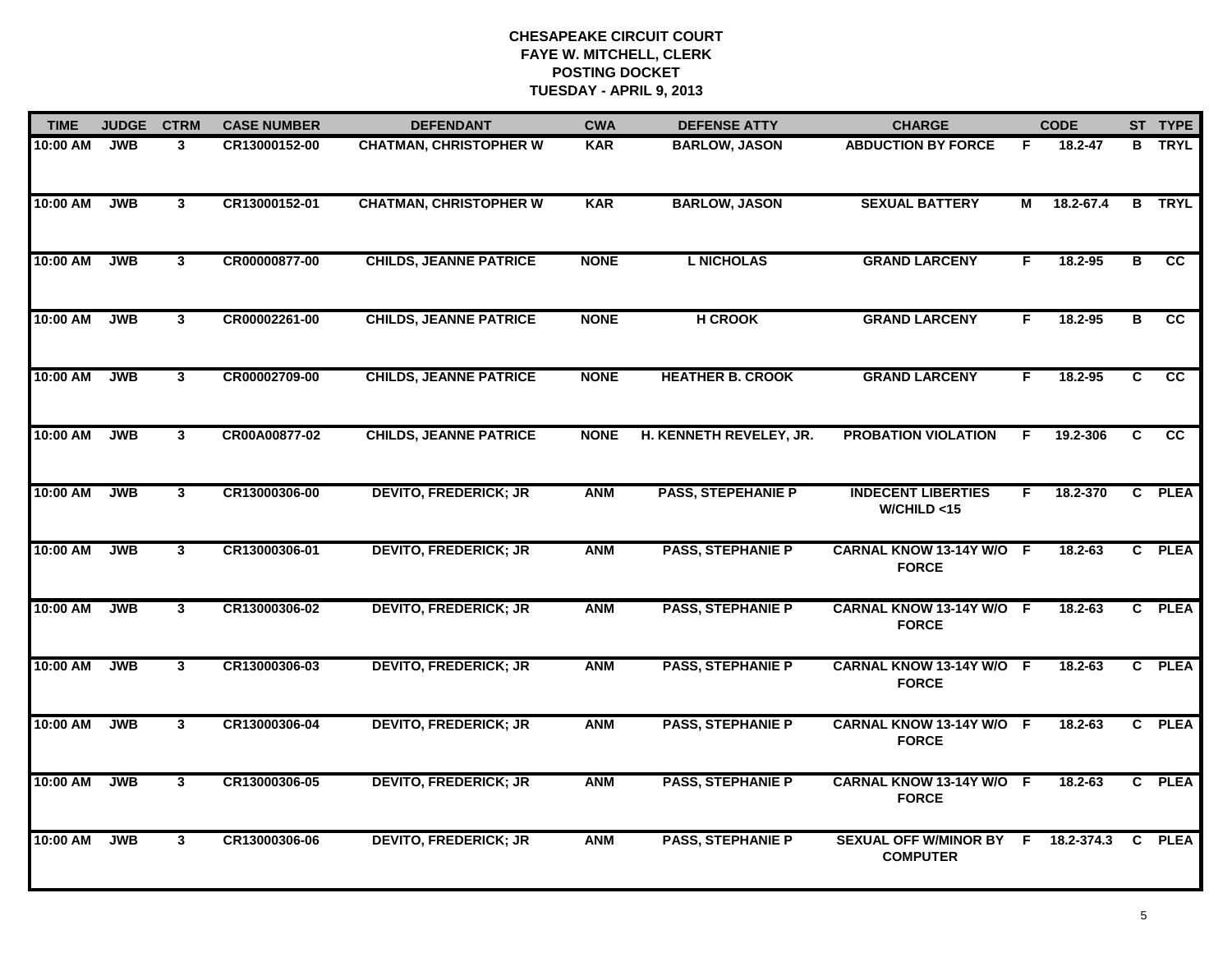| <b>TIME</b> | <b>JUDGE</b> | <b>CTRM</b>    | <b>CASE NUMBER</b> | <b>DEFENDANT</b>              | <b>CWA</b>  | <b>DEFENSE ATTY</b>       | <b>CHARGE</b>                              |    | <b>CODE</b> |              | ST TYPE         |
|-------------|--------------|----------------|--------------------|-------------------------------|-------------|---------------------------|--------------------------------------------|----|-------------|--------------|-----------------|
| 10:00 AM    | <b>JWB</b>   | 3              | CR13000152-00      | <b>CHATMAN, CHRISTOPHER W</b> | <b>KAR</b>  | <b>BARLOW, JASON</b>      | <b>ABDUCTION BY FORCE</b>                  | F  | 18.2-47     | B            | <b>TRYL</b>     |
| 10:00 AM    | <b>JWB</b>   | $\mathbf{3}$   | CR13000152-01      | <b>CHATMAN, CHRISTOPHER W</b> | <b>KAR</b>  | <b>BARLOW, JASON</b>      | <b>SEXUAL BATTERY</b>                      | М  | 18.2-67.4   |              | <b>B</b> TRYL   |
| 10:00 AM    | <b>JWB</b>   | 3 <sup>1</sup> | CR00000877-00      | <b>CHILDS, JEANNE PATRICE</b> | <b>NONE</b> | <b>L NICHOLAS</b>         | <b>GRAND LARCENY</b>                       | F  | $18.2 - 95$ | B            | cc              |
| 10:00 AM    | <b>JWB</b>   | 3 <sup>1</sup> | CR00002261-00      | <b>CHILDS, JEANNE PATRICE</b> | <b>NONE</b> | <b>H CROOK</b>            | <b>GRAND LARCENY</b>                       | F. | $18.2 - 95$ | в            | cc              |
| 10:00 AM    | <b>JWB</b>   | 3              | CR00002709-00      | <b>CHILDS, JEANNE PATRICE</b> | <b>NONE</b> | <b>HEATHER B. CROOK</b>   | <b>GRAND LARCENY</b>                       | F. | 18.2-95     | C            | $\overline{cc}$ |
| 10:00 AM    | <b>JWB</b>   | $\mathbf{3}$   | CR00A00877-02      | <b>CHILDS, JEANNE PATRICE</b> | <b>NONE</b> | H. KENNETH REVELEY, JR.   | <b>PROBATION VIOLATION</b>                 | F  | 19.2-306    | C.           | cc              |
| 10:00 AM    | <b>JWB</b>   | $\mathbf{3}$   | CR13000306-00      | <b>DEVITO, FREDERICK; JR</b>  | <b>ANM</b>  | <b>PASS, STEPEHANIE P</b> | <b>INDECENT LIBERTIES</b><br>W/CHILD < 15  | F. | 18.2-370    | $\mathbf{c}$ | <b>PLEA</b>     |
| 10:00 AM    | <b>JWB</b>   | 3 <sup>1</sup> | CR13000306-01      | <b>DEVITO, FREDERICK; JR</b>  | <b>ANM</b>  | <b>PASS, STEPHANIE P</b>  | CARNAL KNOW 13-14Y W/O F<br><b>FORCE</b>   |    | $18.2 - 63$ |              | C PLEA          |
| 10:00 AM    | <b>JWB</b>   | $\mathbf{3}$   | CR13000306-02      | <b>DEVITO, FREDERICK; JR</b>  | <b>ANM</b>  | <b>PASS, STEPHANIE P</b>  | CARNAL KNOW 13-14Y W/O F<br><b>FORCE</b>   |    | $18.2 - 63$ |              | C PLEA          |
| 10:00 AM    | <b>JWB</b>   | 3 <sup>1</sup> | CR13000306-03      | <b>DEVITO, FREDERICK; JR</b>  | <b>ANM</b>  | <b>PASS, STEPHANIE P</b>  | CARNAL KNOW 13-14Y W/O F<br><b>FORCE</b>   |    | 18.2-63     |              | C PLEA          |
| 10:00 AM    | <b>JWB</b>   | 3              | CR13000306-04      | <b>DEVITO, FREDERICK; JR</b>  | <b>ANM</b>  | <b>PASS, STEPHANIE P</b>  | CARNAL KNOW 13-14Y W/O F<br><b>FORCE</b>   |    | 18.2-63     |              | C PLEA          |
| 10:00 AM    | <b>JWB</b>   | $\mathbf{3}$   | CR13000306-05      | <b>DEVITO, FREDERICK; JR</b>  | <b>ANM</b>  | <b>PASS, STEPHANIE P</b>  | CARNAL KNOW 13-14Y W/O F<br><b>FORCE</b>   |    | $18.2 - 63$ |              | C PLEA          |
| 10:00 AM    | <b>JWB</b>   | $\mathbf{3}$   | CR13000306-06      | <b>DEVITO, FREDERICK; JR</b>  | <b>ANM</b>  | <b>PASS, STEPHANIE P</b>  | SEXUAL OFF W/MINOR BY F<br><b>COMPUTER</b> |    | 18.2-374.3  | $\mathbf{C}$ | <b>PLEA</b>     |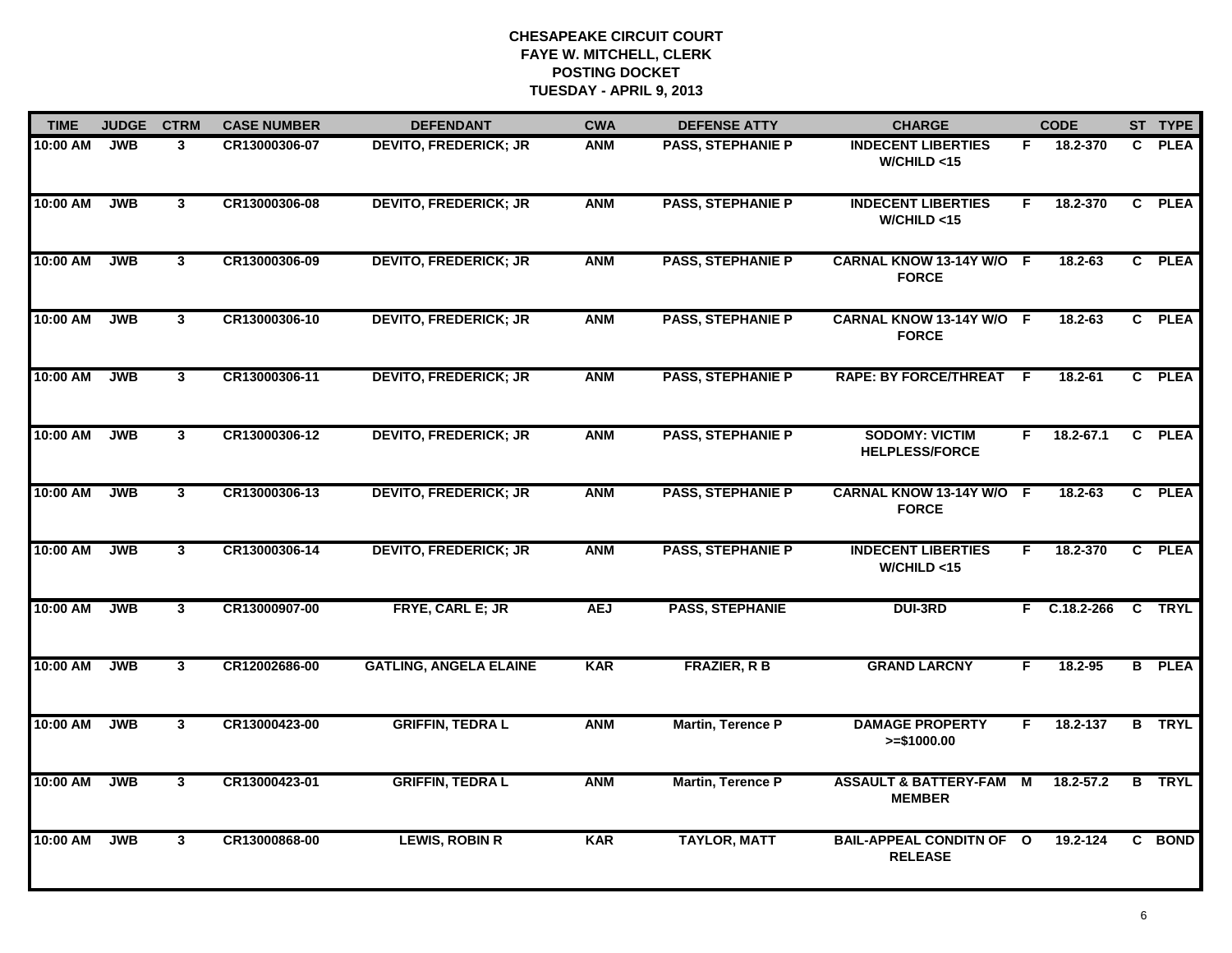| <b>TIME</b> | <b>JUDGE</b> | <b>CTRM</b>    | <b>CASE NUMBER</b> | <b>DEFENDANT</b>              | <b>CWA</b> | <b>DEFENSE ATTY</b>      | <b>CHARGE</b>                                     |                | <b>CODE</b>   |                | ST TYPE       |
|-------------|--------------|----------------|--------------------|-------------------------------|------------|--------------------------|---------------------------------------------------|----------------|---------------|----------------|---------------|
| 10:00 AM    | <b>JWB</b>   | 3              | CR13000306-07      | <b>DEVITO, FREDERICK; JR</b>  | <b>ANM</b> | <b>PASS, STEPHANIE P</b> | <b>INDECENT LIBERTIES</b><br>W/CHILD < 15         | F.             | 18.2-370      | C.             | <b>PLEA</b>   |
| 10:00 AM    | <b>JWB</b>   | $\mathbf{3}$   | CR13000306-08      | <b>DEVITO, FREDERICK; JR</b>  | <b>ANM</b> | <b>PASS, STEPHANIE P</b> | <b>INDECENT LIBERTIES</b><br>W/CHILD < 15         | F              | 18.2-370      | $\mathbf{c}$   | <b>PLEA</b>   |
| 10:00 AM    | <b>JWB</b>   | 3 <sup>1</sup> | CR13000306-09      | <b>DEVITO, FREDERICK; JR</b>  | <b>ANM</b> | <b>PASS, STEPHANIE P</b> | CARNAL KNOW 13-14Y W/O F<br><b>FORCE</b>          |                | $18.2 - 63$   |                | C PLEA        |
| 10:00 AM    | <b>JWB</b>   | $\mathbf{3}$   | CR13000306-10      | <b>DEVITO, FREDERICK; JR</b>  | <b>ANM</b> | <b>PASS, STEPHANIE P</b> | CARNAL KNOW 13-14Y W/O F<br><b>FORCE</b>          |                | $18.2 - 63$   |                | C PLEA        |
| 10:00 AM    | <b>JWB</b>   | 3 <sup>1</sup> | CR13000306-11      | <b>DEVITO, FREDERICK; JR</b>  | <b>ANM</b> | <b>PASS, STEPHANIE P</b> | <b>RAPE: BY FORCE/THREAT</b>                      | -F             | 18.2-61       |                | C PLEA        |
| 10:00 AM    | <b>JWB</b>   | 3              | CR13000306-12      | <b>DEVITO, FREDERICK; JR</b>  | <b>ANM</b> | <b>PASS, STEPHANIE P</b> | <b>SODOMY: VICTIM</b><br><b>HELPLESS/FORCE</b>    | F.             | $18.2 - 67.1$ |                | C PLEA        |
| 10:00 AM    | <b>JWB</b>   | $\mathbf{3}$   | CR13000306-13      | <b>DEVITO, FREDERICK; JR</b>  | <b>ANM</b> | <b>PASS, STEPHANIE P</b> | CARNAL KNOW 13-14Y W/O F<br><b>FORCE</b>          |                | 18.2-63       |                | C PLEA        |
| 10:00 AM    | <b>JWB</b>   | $\mathbf{3}$   | CR13000306-14      | <b>DEVITO, FREDERICK; JR</b>  | <b>ANM</b> | <b>PASS, STEPHANIE P</b> | <b>INDECENT LIBERTIES</b><br>W/CHILD < 15         | F.             | 18.2-370      |                | C PLEA        |
| 10:00 AM    | <b>JWB</b>   | 3              | CR13000907-00      | FRYE, CARL E; JR              | <b>AEJ</b> | <b>PASS, STEPHANIE</b>   | <b>DUI-3RD</b>                                    | F.             | C.18.2-266    |                | C TRYL        |
| 10:00 AM    | <b>JWB</b>   | 3 <sup>1</sup> | CR12002686-00      | <b>GATLING, ANGELA ELAINE</b> | <b>KAR</b> | <b>FRAZIER, R B</b>      | <b>GRAND LARCNY</b>                               | F.             | 18.2-95       |                | <b>B</b> PLEA |
| 10:00 AM    | <b>JWB</b>   | $\mathbf{3}$   | CR13000423-00      | <b>GRIFFIN, TEDRAL</b>        | <b>ANM</b> | <b>Martin, Terence P</b> | <b>DAMAGE PROPERTY</b><br>$>= $1000.00$           | F.             | 18.2-137      | B              | <b>TRYL</b>   |
| 10:00 AM    | <b>JWB</b>   | $\overline{3}$ | CR13000423-01      | <b>GRIFFIN, TEDRAL</b>        | <b>ANM</b> | <b>Martin, Terence P</b> | <b>ASSAULT &amp; BATTERY-FAM</b><br><b>MEMBER</b> | $\overline{M}$ | $18.2 - 57.2$ | $\overline{B}$ | <b>TRYL</b>   |
| 10:00 AM    | <b>JWB</b>   | $\mathbf{3}$   | CR13000868-00      | <b>LEWIS, ROBIN R</b>         | <b>KAR</b> | <b>TAYLOR, MATT</b>      | <b>BAIL-APPEAL CONDITN OF O</b><br><b>RELEASE</b> |                | 19.2-124      |                | C BOND        |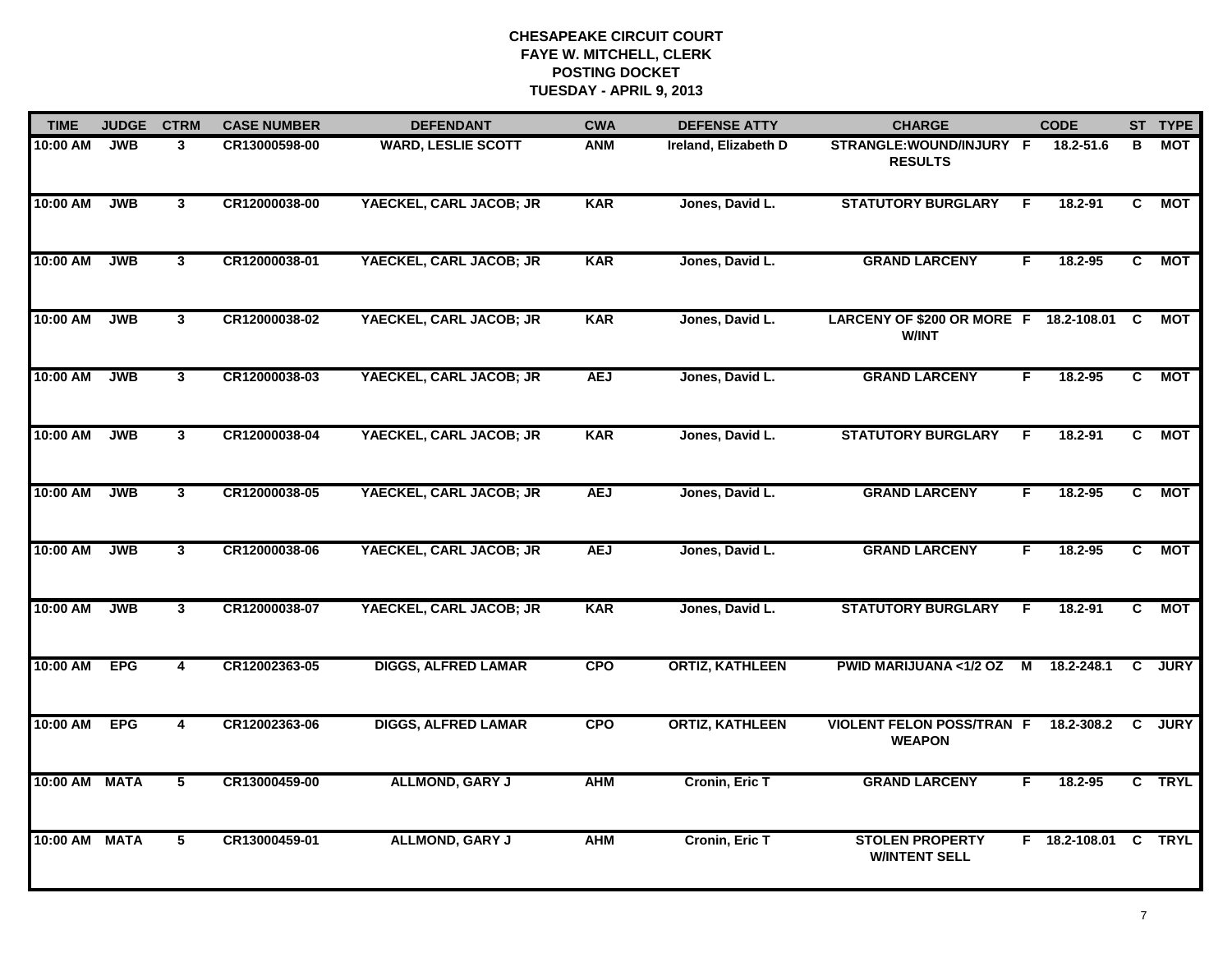| <b>TIME</b>   | <b>JUDGE</b> | <b>CTRM</b>             | <b>CASE NUMBER</b> | <b>DEFENDANT</b>           | <b>CWA</b> | <b>DEFENSE ATTY</b>    | <b>CHARGE</b>                                          |    | <b>CODE</b>          |              | ST TYPE     |
|---------------|--------------|-------------------------|--------------------|----------------------------|------------|------------------------|--------------------------------------------------------|----|----------------------|--------------|-------------|
| 10:00 AM      | <b>JWB</b>   | 3                       | CR13000598-00      | <b>WARD, LESLIE SCOTT</b>  | <b>ANM</b> | Ireland, Elizabeth D   | STRANGLE: WOUND/INJURY F<br><b>RESULTS</b>             |    | 18.2-51.6            | В            | МОТ         |
| 10:00 AM      | <b>JWB</b>   | $\mathbf{3}$            | CR12000038-00      | YAECKEL, CARL JACOB; JR    | <b>KAR</b> | Jones, David L.        | <b>STATUTORY BURGLARY</b>                              | -F | 18.2-91              | C            | <b>MOT</b>  |
| 10:00 AM      | <b>JWB</b>   | $\mathbf{3}$            | CR12000038-01      | YAECKEL, CARL JACOB; JR    | <b>KAR</b> | Jones, David L.        | <b>GRAND LARCENY</b>                                   | F  | $18.2 - 95$          | $\mathbf{C}$ | <b>MOT</b>  |
| 10:00 AM      | <b>JWB</b>   | 3 <sup>1</sup>          | CR12000038-02      | YAECKEL, CARL JACOB; JR    | <b>KAR</b> | Jones, David L.        | LARCENY OF \$200 OR MORE F 18.2-108.01<br><b>W/INT</b> |    |                      | C            | <b>MOT</b>  |
| 10:00 AM      | <b>JWB</b>   | 3                       | CR12000038-03      | YAECKEL, CARL JACOB; JR    | <b>AEJ</b> | Jones, David L.        | <b>GRAND LARCENY</b>                                   | F. | 18.2-95              | C            | <b>MOT</b>  |
| 10:00 AM      | <b>JWB</b>   | $\mathbf{3}$            | CR12000038-04      | YAECKEL, CARL JACOB; JR    | <b>KAR</b> | Jones, David L.        | <b>STATUTORY BURGLARY</b>                              | -F | $18.2 - 91$          | C.           | <b>MOT</b>  |
| 10:00 AM      | <b>JWB</b>   | $\mathbf{3}$            | CR12000038-05      | YAECKEL, CARL JACOB; JR    | <b>AEJ</b> | Jones, David L.        | <b>GRAND LARCENY</b>                                   | F  | 18.2-95              | C            | <b>MOT</b>  |
| 10:00 AM      | <b>JWB</b>   | $\mathbf{3}$            | CR12000038-06      | YAECKEL, CARL JACOB; JR    | <b>AEJ</b> | Jones, David L.        | <b>GRAND LARCENY</b>                                   | F  | $18.2 - 95$          | C.           | <b>MOT</b>  |
| 10:00 AM      | <b>JWB</b>   | 3 <sup>1</sup>          | CR12000038-07      | YAECKEL, CARL JACOB; JR    | <b>KAR</b> | Jones, David L.        | <b>STATUTORY BURGLARY</b>                              | F  | $18.2 - 91$          | C.           | <b>MOT</b>  |
| 10:00 AM      | <b>EPG</b>   | 4                       | CR12002363-05      | <b>DIGGS, ALFRED LAMAR</b> | <b>CPO</b> | <b>ORTIZ, KATHLEEN</b> | <b>PWID MARIJUANA &lt;1/2 OZ</b>                       | M  | 18.2-248.1           | C            | <b>JURY</b> |
| 10:00 AM      | <b>EPG</b>   | 4                       | CR12002363-06      | <b>DIGGS, ALFRED LAMAR</b> | <b>CPO</b> | <b>ORTIZ, KATHLEEN</b> | <b>VIOLENT FELON POSS/TRAN F</b><br><b>WEAPON</b>      |    | 18.2-308.2           | C            | <b>JURY</b> |
| 10:00 AM MATA |              | $\overline{\mathbf{5}}$ | CR13000459-00      | <b>ALLMOND, GARY J</b>     | <b>AHM</b> | Cronin, Eric T         | <b>GRAND LARCENY</b>                                   | F. | 18.2-95              |              | C TRYL      |
| 10:00 AM MATA |              | 5                       | CR13000459-01      | <b>ALLMOND, GARY J</b>     | <b>AHM</b> | Cronin, Eric T         | <b>STOLEN PROPERTY</b><br><b>W/INTENT SELL</b>         |    | F 18.2-108.01 C TRYL |              |             |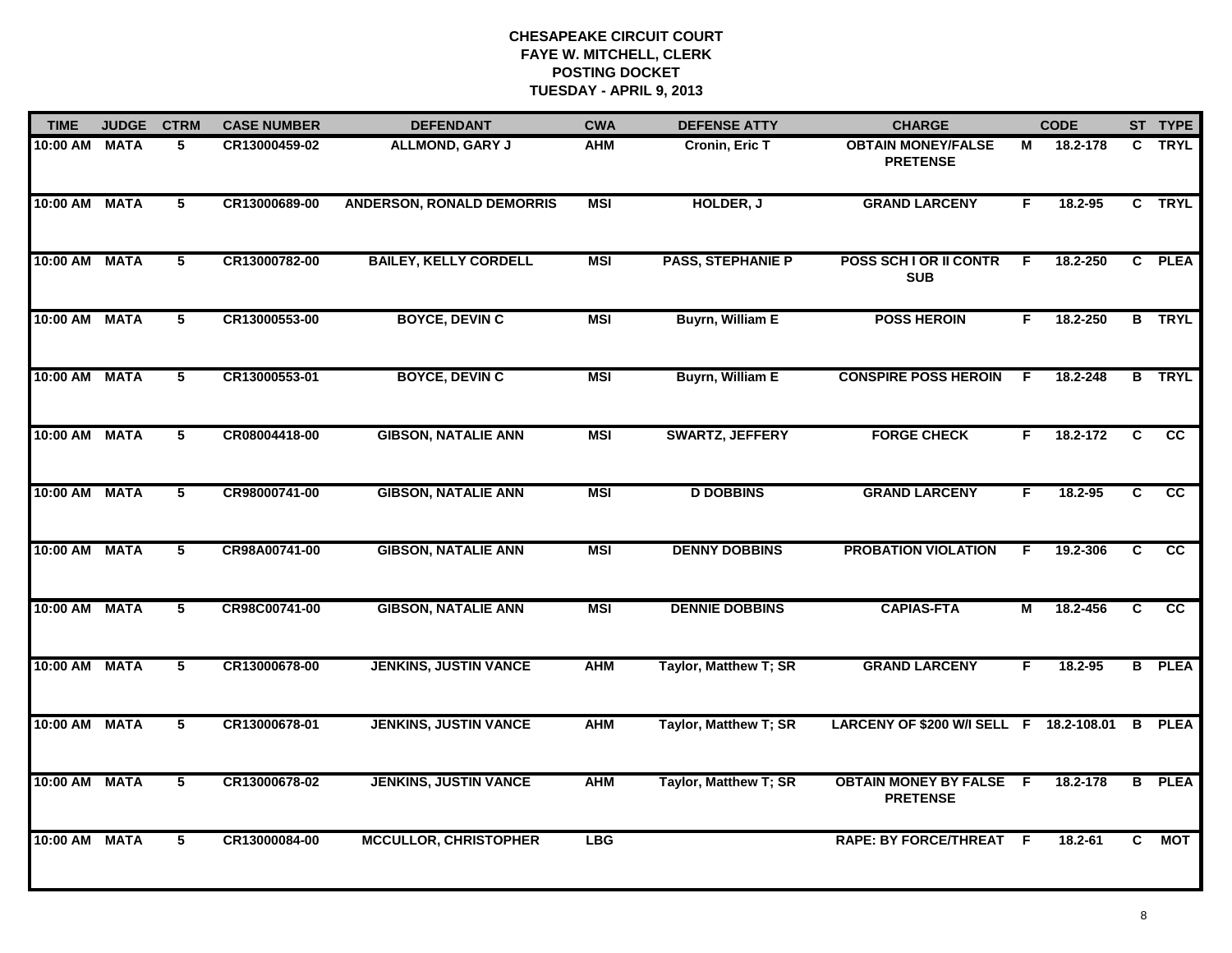| <b>TIME</b>   | <b>JUDGE</b> | <b>CTRM</b>    | <b>CASE NUMBER</b> | <b>DEFENDANT</b>                 | <b>CWA</b> | <b>DEFENSE ATTY</b>      | <b>CHARGE</b>                                   |                | <b>CODE</b> |                | ST TYPE         |
|---------------|--------------|----------------|--------------------|----------------------------------|------------|--------------------------|-------------------------------------------------|----------------|-------------|----------------|-----------------|
| 10:00 AM MATA |              | 5              | CR13000459-02      | <b>ALLMOND, GARY J</b>           | <b>AHM</b> | Cronin, Eric T           | <b>OBTAIN MONEY/FALSE</b><br><b>PRETENSE</b>    | М              | 18.2-178    | C.             | <b>TRYL</b>     |
| 10:00 AM MATA |              | 5              | CR13000689-00      | <b>ANDERSON, RONALD DEMORRIS</b> | <b>MSI</b> | HOLDER, J                | <b>GRAND LARCENY</b>                            | F              | 18.2-95     |                | C TRYL          |
| 10:00 AM MATA |              | 5              | CR13000782-00      | <b>BAILEY, KELLY CORDELL</b>     | <b>MSI</b> | <b>PASS, STEPHANIE P</b> | POSS SCH I OR II CONTR<br><b>SUB</b>            | F              | 18.2-250    |                | C PLEA          |
| 10:00 AM MATA |              | 5              | CR13000553-00      | <b>BOYCE, DEVIN C</b>            | <b>MSI</b> | <b>Buyrn, William E</b>  | <b>POSS HEROIN</b>                              | F.             | 18.2-250    | B              | <b>TRYL</b>     |
| 10:00 AM MATA |              | 5              | CR13000553-01      | <b>BOYCE, DEVIN C</b>            | <b>MSI</b> | Buyrn, William E         | <b>CONSPIRE POSS HEROIN</b>                     | -F             | 18.2-248    |                | <b>B</b> TRYL   |
| 10:00 AM MATA |              | 5              | CR08004418-00      | <b>GIBSON, NATALIE ANN</b>       | <b>MSI</b> | <b>SWARTZ, JEFFERY</b>   | <b>FORGE CHECK</b>                              | F.             | 18.2-172    | C.             | $\overline{cc}$ |
| 10:00 AM MATA |              | $\overline{5}$ | CR98000741-00      | <b>GIBSON, NATALIE ANN</b>       | <b>MSI</b> | <b>D DOBBINS</b>         | <b>GRAND LARCENY</b>                            | F              | 18.2-95     | $\overline{c}$ | cc              |
| 10:00 AM MATA |              | 5              | CR98A00741-00      | <b>GIBSON, NATALIE ANN</b>       | <b>MSI</b> | <b>DENNY DOBBINS</b>     | <b>PROBATION VIOLATION</b>                      | F              | 19.2-306    | C              | cc              |
| 10:00 AM MATA |              | 5              | CR98C00741-00      | <b>GIBSON, NATALIE ANN</b>       | <b>MSI</b> | <b>DENNIE DOBBINS</b>    | <b>CAPIAS-FTA</b>                               | M              | 18.2-456    | C              | <b>CC</b>       |
| 10:00 AM      | <b>MATA</b>  | $\overline{5}$ | CR13000678-00      | <b>JENKINS, JUSTIN VANCE</b>     | <b>AHM</b> | Taylor, Matthew T; SR    | <b>GRAND LARCENY</b>                            | F              | 18.2-95     |                | <b>B</b> PLEA   |
| 10:00 AM MATA |              | 5              | CR13000678-01      | <b>JENKINS, JUSTIN VANCE</b>     | <b>AHM</b> | Taylor, Matthew T; SR    | LARCENY OF \$200 W/I SELL F 18.2-108.01         |                |             | B              | <b>PLEA</b>     |
| 10:00 AM MATA |              | $5^{\circ}$    | CR13000678-02      | <b>JENKINS, JUSTIN VANCE</b>     | <b>AHM</b> | Taylor, Matthew T; SR    | <b>OBTAIN MONEY BY FALSE</b><br><b>PRETENSE</b> | $\overline{F}$ | 18.2-178    |                | <b>B</b> PLEA   |
| 10:00 AM MATA |              | 5              | CR13000084-00      | <b>MCCULLOR, CHRISTOPHER</b>     | <b>LBG</b> |                          | <b>RAPE: BY FORCE/THREAT F</b>                  |                | 18.2-61     | C.             | <b>MOT</b>      |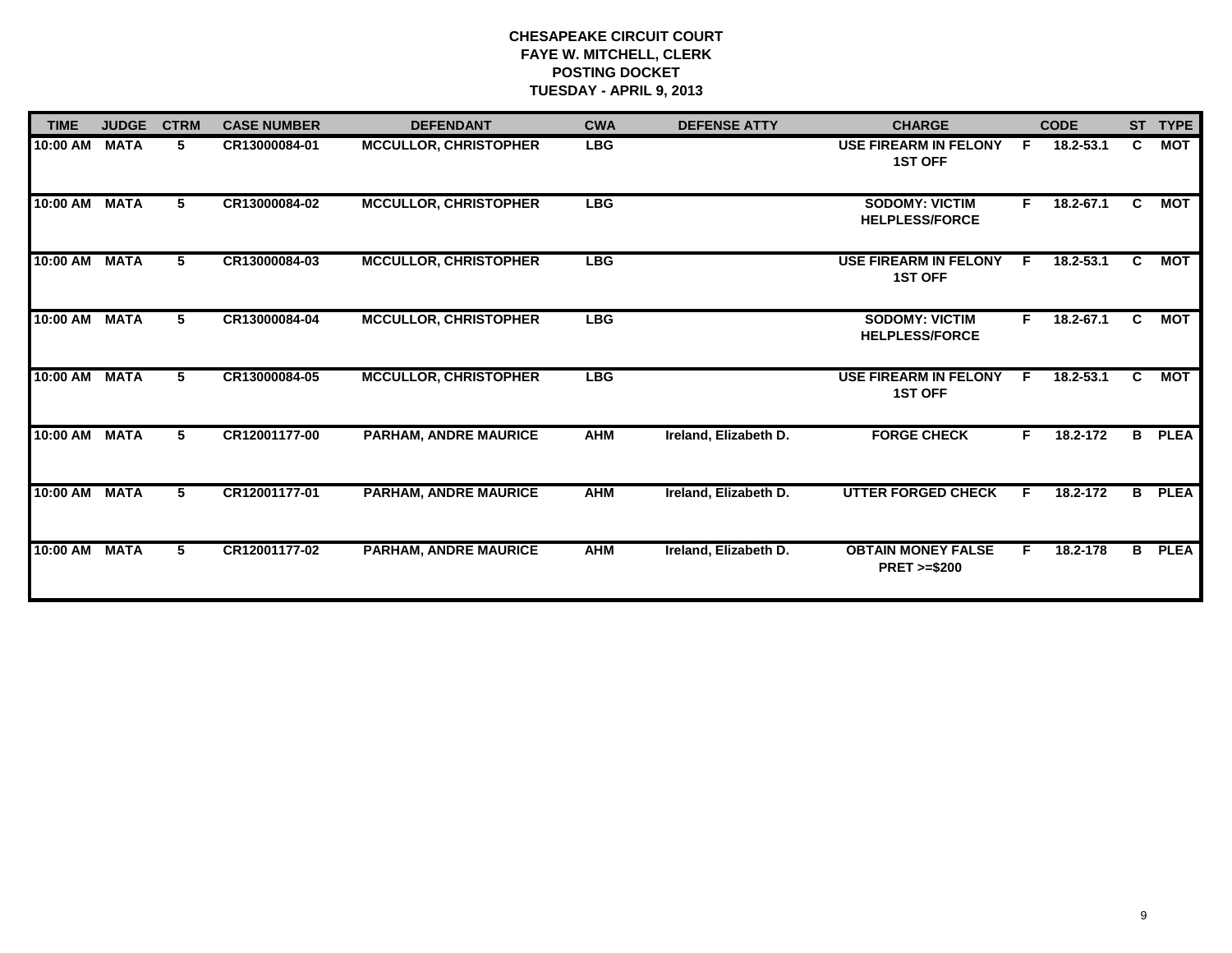| <b>TIME</b>   | <b>JUDGE</b> | <b>CTRM</b> | <b>CASE NUMBER</b> | <b>DEFENDANT</b>             | <b>CWA</b> | <b>DEFENSE ATTY</b>   | <b>CHARGE</b>                                       |    | <b>CODE</b> |              | ST TYPE     |
|---------------|--------------|-------------|--------------------|------------------------------|------------|-----------------------|-----------------------------------------------------|----|-------------|--------------|-------------|
| 10:00 AM      | <b>MATA</b>  | 5.          | CR13000084-01      | <b>MCCULLOR, CHRISTOPHER</b> | <b>LBG</b> |                       | <b>USE FIREARM IN FELONY</b><br><b>1ST OFF</b>      | F  | 18.2-53.1   | $\mathbf{c}$ | <b>MOT</b>  |
| 10:00 AM MATA |              | 5.          | CR13000084-02      | <b>MCCULLOR, CHRISTOPHER</b> | <b>LBG</b> |                       | <b>SODOMY: VICTIM</b><br><b>HELPLESS/FORCE</b>      | F. | 18.2-67.1   | C.           | МОТ         |
| 10:00 AM      | <b>MATA</b>  | 5.          | CR13000084-03      | <b>MCCULLOR, CHRISTOPHER</b> | <b>LBG</b> |                       | <b>USE FIREARM IN FELONY</b><br><b>1ST OFF</b>      | E  | 18.2-53.1   | C.           | <b>MOT</b>  |
| 10:00 AM MATA |              | 5.          | CR13000084-04      | <b>MCCULLOR, CHRISTOPHER</b> | <b>LBG</b> |                       | <b>SODOMY: VICTIM</b><br><b>HELPLESS/FORCE</b>      | F. | 18.2-67.1   | C.           | МОТ         |
| 10:00 AM MATA |              | 5.          | CR13000084-05      | <b>MCCULLOR, CHRISTOPHER</b> | <b>LBG</b> |                       | <b>USE FIREARM IN FELONY</b><br><b>1ST OFF</b>      | E  | 18.2-53.1   | C.           | МОТ         |
| 10:00 AM      | <b>MATA</b>  | 5.          | CR12001177-00      | <b>PARHAM, ANDRE MAURICE</b> | <b>AHM</b> | Ireland, Elizabeth D. | <b>FORGE CHECK</b>                                  | F. | 18.2-172    | B.           | <b>PLEA</b> |
| 10:00 AM      | <b>MATA</b>  | 5           | CR12001177-01      | <b>PARHAM, ANDRE MAURICE</b> | <b>AHM</b> | Ireland, Elizabeth D. | <b>UTTER FORGED CHECK</b>                           | F. | 18.2-172    | B            | <b>PLEA</b> |
| 10:00 AM MATA |              | 5           | CR12001177-02      | <b>PARHAM, ANDRE MAURICE</b> | <b>AHM</b> | Ireland, Elizabeth D. | <b>OBTAIN MONEY FALSE</b><br><b>PRET &gt;=\$200</b> | F. | 18.2-178    | B            | <b>PLEA</b> |